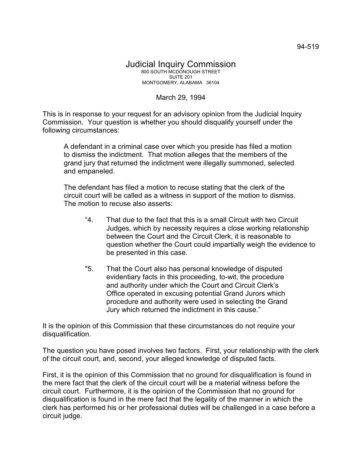## Judicial Inquiry Commission 800 SOUTH MCDONOUGH STREET SUITE 201 MONTGOMERY, ALABAMA 36104

## March 29, 1994

This is in response to your request for an advisory opinion from the Judicial Inquiry Commission. Your question is whether you should disqualify yourself under the following circumstances:

A defendant in a criminal case over which you preside has filed a motion to dismiss the indictment. That motion alleges that the members of the grand jury that returned the indictment were illegally summoned, selected and empaneled.

The defendant has filed a motion to recuse stating that the clerk of the circuit court will be called as a witness in support of the motion to dismiss. The motion to recuse also asserts:

- "4. That due to the fact that this is a small Circuit with two Circuit Judges, which by necessity requires a close working relationship between the Court and the Circuit Clerk, it is reasonable to question whether the Court could impartially weigh the evidence to be presented in this case.
- "5. That the Court also has personal knowledge of disputed evidentiary facts in this proceeding, to-wit, the procedure and authority under which the Court and Circuit Clerk's Office operated in excusing potential Grand Jurors which procedure and authority were used in selecting the Grand Jury which returned the indictment in this cause."

It is the opinion of this Commission that these circumstances do not require your disqualification.

The question you have posed involves two factors. First, your relationship with the clerk of the circuit court, and, second, your alleged knowledge of disputed facts.

First, it is the opinion of this Commission that no ground for disqualification is found in the mere fact that the clerk of the circuit court will be a material witness before the circuit court. Furthermore, it is the opinion of the Commission that no ground for disqualification is found in the mere fact that the legality of the manner in which the clerk has performed his or her professional duties will be challenged in a case before a circuit judge.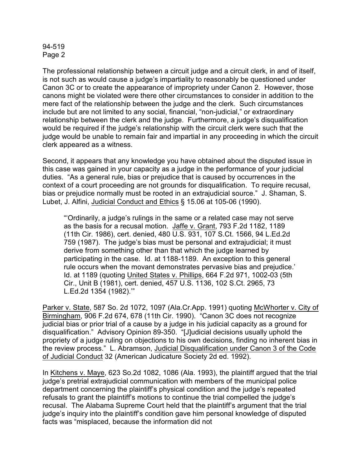## 94-519 Page 2

The professional relationship between a circuit judge and a circuit clerk, in and of itself, is not such as would cause a judge's impartiality to reasonably be questioned under Canon 3C or to create the appearance of impropriety under Canon 2. However, those canons might be violated were there other circumstances to consider in addition to the mere fact of the relationship between the judge and the clerk. Such circumstances include but are not limited to any social, financial, "non-judicial," or extraordinary relationship between the clerk and the judge. Furthermore, a judge's disqualification would be required if the judge's relationship with the circuit clerk were such that the judge would be unable to remain fair and impartial in any proceeding in which the circuit clerk appeared as a witness.

Second, it appears that any knowledge you have obtained about the disputed issue in this case was gained in your capacity as a judge in the performance of your judicial duties. "As a general rule, bias or prejudice that is caused by occurrences in the context of a court proceeding are not grounds for disqualification. To require recusal, bias or prejudice normally must be rooted in an extrajudicial source." J. Shaman, S. Lubet, J. Alfini, Judicial Conduct and Ethics § 15.06 at 105-06 (1990).

"'Ordinarily, a judge's rulings in the same or a related case may not serve as the basis for a recusal motion. Jaffe v. Grant, 793 F.2d 1182, 1189 (11th Cir. 1986), cert. denied, 480 U.S. 931, 107 S.Ct. 1566, 94 L.Ed.2d 759 (1987). The judge's bias must be personal and extrajudicial; it must derive from something other than that which the judge learned by participating in the case. Id. at 1188-1189. An exception to this general rule occurs when the movant demonstrates pervasive bias and prejudice.' Id. at 1189 (quoting United States v. Phillips, 664 F.2d 971, 1002-03 (5th Cir., Unit B (1981), cert. denied, 457 U.S. 1136, 102 S.Ct. 2965, 73 L.Ed.2d 1354 (1982).'"

Parker v. State, 587 So. 2d 1072, 1097 (Ala.Cr.App. 1991) quoting McWhorter v. City of Birmingham, 906 F.2d 674, 678 (11th Cir. 1990). "Canon 3C does not recognize judicial bias or prior trial of a cause by a judge in his judicial capacity as a ground for disqualification." Advisory Opinion 89-350. "[J]udicial decisions usually uphold the propriety of a judge ruling on objections to his own decisions, finding no inherent bias in the review process." L. Abramson, Judicial Disqualification under Canon 3 of the Code of Judicial Conduct 32 (American Judicature Society 2d ed. 1992).

In Kitchens v. Maye, 623 So.2d 1082, 1086 (Ala. 1993), the plaintiff argued that the trial judge's pretrial extrajudicial communication with members of the municipal police department concerning the plaintiff's physical condition and the judge's repeated refusals to grant the plaintiff's motions to continue the trial compelled the judge's recusal. The Alabama Supreme Court held that the plaintiff's argument that the trial judge's inquiry into the plaintiff's condition gave him personal knowledge of disputed facts was "misplaced, because the information did not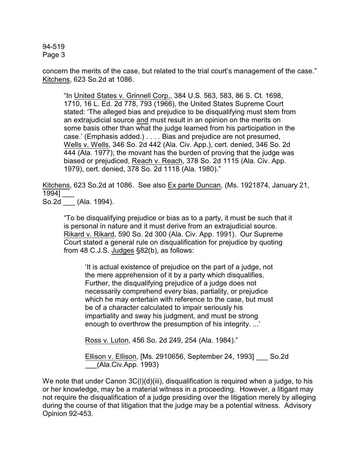94-519 Page 3

concern the merits of the case, but related to the trial court's management of the case." Kitchens, 623 So.2d at 1086.

"In United States v. Grinnell Corp., 384 U.S. 563, 583, 86 S. Ct. 1698, 1710, 16 L. Ed. 2d 778, 793 (1966), the United States Supreme Court stated: 'The alleged bias and prejudice to be disqualifying must stem from an extrajudicial source and must result in an opinion on the merits on some basis other than what the judge learned from his participation in the case.' (Emphasis added.) . . . . Bias and prejudice are not presumed, Wells v. Wells, 346 So. 2d 442 (Ala. Civ. App.), cert. denied, 346 So. 2d 444 (Ala. 1977); the movant has the burden of proving that the judge was biased or prejudiced, Reach v. Reach, 378 So. 2d 1115 (Ala. Civ. App. 1979), cert. denied, 378 So. 2d 1118 (Ala. 1980)."

Kitchens, 623 So.2d at 1086. See also Ex parte Duncan, (Ms. 1921874, January 21, 1994] \_\_\_

So.2d (Ala. 1994).

"To be disqualifying prejudice or bias as to a party, it must be such that it is personal in nature and it must derive from an extrajudicial source. Rikard v. Rikard, 590 So. 2d 300 (Ala. Civ. App. 1991). Our Supreme Court stated a general rule on disqualification for prejudice by quoting from 48 C.J.S. Judges §82(b), as follows:

'It is actual existence of prejudice on the part of a judge, not the mere apprehension of it by a party which disqualifies. Further, the disqualifying prejudice of a judge does not necessarily comprehend every bias, partiality, or prejudice which he may entertain with reference to the case, but must be of a character calculated to impair seriously his impartiality and sway his judgment, and must be strong enough to overthrow the presumption of his integrity. ...'

Ross v. Luton, 456 So. 2d 249, 254 (Ala. 1984)."

Ellison v. Ellison, [Ms. 2910656, September 24, 1993] \_\_\_ So.2d \_\_\_(Ala.Civ.App. 1993)

We note that under Canon 3C(I)(d)(iii), disqualification is required when a judge, to his or her knowledge, may be a material witness in a proceeding. However, a litigant may not require the disqualification of a judge presiding over the litigation merely by alleging during the course of that litigation that the judge may be a potential witness. Advisory Opinion 92-453.